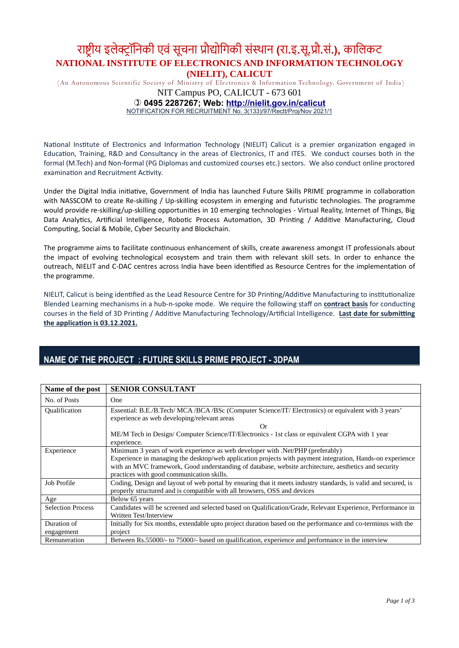## राष्ट्रीय इलेक्ट्रॉनिकी एवं सूचना प्रौद्योगिकी संस्थान (रा.इ.सू.प्रौ.सं.), कालिकट NATIONAL INSTITUTE OF ELECTRONICS AND INFORMATION TECHNOLOGY (NIELIT), CALICUT

(An Autonomous Scientific Society of Ministry of Electronics & Infor mation Technology, Government of India)

NIT Campus PO, CALICUT - 673 601

0495 2287267; Web: http://nielit.gov.in/calicut

NOTIFICATION FOR RECRUITMENT No. 3(133)/97/Rectt/Proj/Nov 2021/1

National Institute of Electronics and Information Technology (NIELIT) Calicut is a premier organization engaged in Education, Training, R&D and Consultancy in the areas of Electronics, IT and ITES. We conduct courses both in the formal (M.Tech) and Non-formal (PG Diplomas and customized courses etc.) sectors. We also conduct online proctored examination and Recruitment Activity.

Under the Digital India initiative, Government of India has launched Future Skills PRIME programme in collaboration with NASSCOM to create Re-skilling / Up-skilling ecosystem in emerging and futuristic technologies. The programme would provide re-skilling/up-skilling opportunities in 10 emerging technologies - Virtual Reality, Internet of Things, Big Data Analytics, Artificial Intelligence, Robotic Process Automation, 3D Printing / Additive Manufacturing, Cloud Computing, Social & Mobile, Cyber Security and Blockchain.

The programme aims to facilitate continuous enhancement of skills, create awareness amongst IT professionals about the impact of evolving technological ecosystem and train them with relevant skill sets. In order to enhance the outreach, NIELIT and C-DAC centres across India have been identified as Resource Centres for the implementation of the programme.

NIELIT, Calicut is being identified as the Lead Resource Centre for 3D Printing/Additive Manufacturing to institutionalize Blended Learning mechanisms in a hub-n-spoke mode. We require the following staff on contract basis for conducting courses in the field of 3D Printing / Additive Manufacturing Technology/Artificial Intelligence. Last date for submitting the application is 03.12.2021.

#### Name of the post | SENIOR CONSULTANT No. of Posts | One Qualification Essential: B.E./B.Tech/ MCA /BCA /BSc (Computer Science/IT/ Electronics) or equivalent with 3 years' experience as web developing/relevant areas Or ME/M Tech in Design/ Computer Science/IT/Electronics - 1st class or equivalent CGPA with 1 year experience. Experience Minimum 3 years of work experience as web developer with .Net/PHP (preferably) Experience in managing the desktop/web application projects with payment integration, Hands-on experience with an MVC framework, Good understanding of database, website architecture, aesthetics and security practices with good communication skills. Job Profile Coding, Design and layout of web portal by ensuring that it meets industry standards, is valid and secured, is properly structured and is compatible with all browsers, OSS and devices Age Below 65 years Selection Process Candidates will be screened and selected based on Qualification/Grade, Relevant Experience, Performance in Written Test/Interview Duration of engagement Initially for Six months, extendable upto project duration based on the performance and co-terminus with the project Remuneration Between Rs.55000/- to 75000/- based on qualification, experience and performance in the interview

### NAME OF THE PROJECT : FUTURE SKILLS PRIME PROJECT - 3DPAM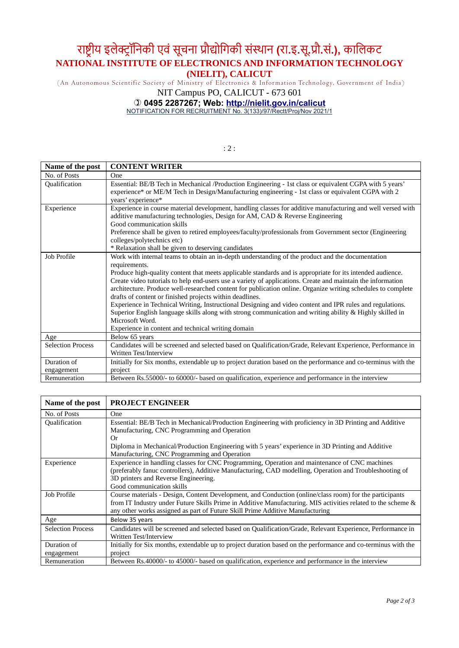# राष्ट्रीय इलेक्ट्रॉनिकी एवं सूचना प्रौद्योगिकी संस्थान (रा.इ.सू.प्रौ.सं.), कालिकट NATIONAL INSTITUTE OF ELECTRONICS AND INFORMATION TECHNOLOGY (NIELIT), CALICUT

(An Autonomous Scientific Society of Ministry of Electronics & Infor mation Technology, Government of India)

### NIT Campus PO, CALICUT - 673 601

#### 0495 2287267; Web: http://nielit.gov.in/calicut

NOTIFICATION FOR RECRUITMENT No. 3(133)/97/Rectt/Proj/Nov 2021/1

: 2 :

| Name of the post         | <b>CONTENT WRITER</b>                                                                                                                                                                                                                                                                                                                                                                                                                                                                                                                                                                                                                                                                                                    |
|--------------------------|--------------------------------------------------------------------------------------------------------------------------------------------------------------------------------------------------------------------------------------------------------------------------------------------------------------------------------------------------------------------------------------------------------------------------------------------------------------------------------------------------------------------------------------------------------------------------------------------------------------------------------------------------------------------------------------------------------------------------|
| No. of Posts             | One                                                                                                                                                                                                                                                                                                                                                                                                                                                                                                                                                                                                                                                                                                                      |
| Qualification            | Essential: BE/B Tech in Mechanical /Production Engineering - 1st class or equivalent CGPA with 5 years'<br>experience* or ME/M Tech in Design/Manufacturing engineering - 1st class or equivalent CGPA with 2<br>years' experience*                                                                                                                                                                                                                                                                                                                                                                                                                                                                                      |
| Experience               | Experience in course material development, handling classes for additive manufacturing and well versed with<br>additive manufacturing technologies, Design for AM, CAD & Reverse Engineering<br>Good communication skills<br>Preference shall be given to retired employees/faculty/professionals from Government sector (Engineering<br>colleges/polytechnics etc)<br>* Relaxation shall be given to deserving candidates                                                                                                                                                                                                                                                                                               |
| Job Profile              | Work with internal teams to obtain an in-depth understanding of the product and the documentation                                                                                                                                                                                                                                                                                                                                                                                                                                                                                                                                                                                                                        |
|                          | requirements.<br>Produce high-quality content that meets applicable standards and is appropriate for its intended audience.<br>Create video tutorials to help end-users use a variety of applications. Create and maintain the information<br>architecture. Produce well-researched content for publication online. Organize writing schedules to complete<br>drafts of content or finished projects within deadlines.<br>Experience in Technical Writing, Instructional Designing and video content and IPR rules and regulations.<br>Superior English language skills along with strong communication and writing ability & Highly skilled in<br>Microsoft Word.<br>Experience in content and technical writing domain |
| Age                      | Below 65 years                                                                                                                                                                                                                                                                                                                                                                                                                                                                                                                                                                                                                                                                                                           |
| <b>Selection Process</b> | Candidates will be screened and selected based on Qualification/Grade, Relevant Experience, Performance in<br>Written Test/Interview                                                                                                                                                                                                                                                                                                                                                                                                                                                                                                                                                                                     |
| Duration of              | Initially for Six months, extendable up to project duration based on the performance and co-terminus with the                                                                                                                                                                                                                                                                                                                                                                                                                                                                                                                                                                                                            |
| engagement               | project                                                                                                                                                                                                                                                                                                                                                                                                                                                                                                                                                                                                                                                                                                                  |
| Remuneration             | Between Rs.55000/- to 60000/- based on qualification, experience and performance in the interview                                                                                                                                                                                                                                                                                                                                                                                                                                                                                                                                                                                                                        |

| Name of the post         | <b>PROJECT ENGINEER</b>                                                                                       |
|--------------------------|---------------------------------------------------------------------------------------------------------------|
| No. of Posts             | One                                                                                                           |
| Qualification            | Essential: BE/B Tech in Mechanical/Production Engineering with proficiency in 3D Printing and Additive        |
|                          | Manufacturing, CNC Programming and Operation                                                                  |
|                          | 0r                                                                                                            |
|                          | Diploma in Mechanical/Production Engineering with 5 years' experience in 3D Printing and Additive             |
|                          | Manufacturing, CNC Programming and Operation                                                                  |
| Experience               | Experience in handling classes for CNC Programming, Operation and maintenance of CNC machines                 |
|                          | (preferably fanuc controllers), Additive Manufacturing, CAD modelling, Operation and Troubleshooting of       |
|                          | 3D printers and Reverse Engineering.                                                                          |
|                          | Good communication skills                                                                                     |
| Job Profile              | Course materials - Design, Content Development, and Conduction (online/class room) for the participants       |
|                          | from IT Industry under Future Skills Prime in Additive Manufacturing. MIS activities related to the scheme &  |
|                          | any other works assigned as part of Future Skill Prime Additive Manufacturing                                 |
| Age                      | Below 35 years                                                                                                |
| <b>Selection Process</b> | Candidates will be screened and selected based on Qualification/Grade, Relevant Experience, Performance in    |
|                          | Written Test/Interview                                                                                        |
| Duration of              | Initially for Six months, extendable up to project duration based on the performance and co-terminus with the |
| engagement               | project                                                                                                       |
| Remuneration             | Between Rs.40000/- to 45000/- based on qualification, experience and performance in the interview             |